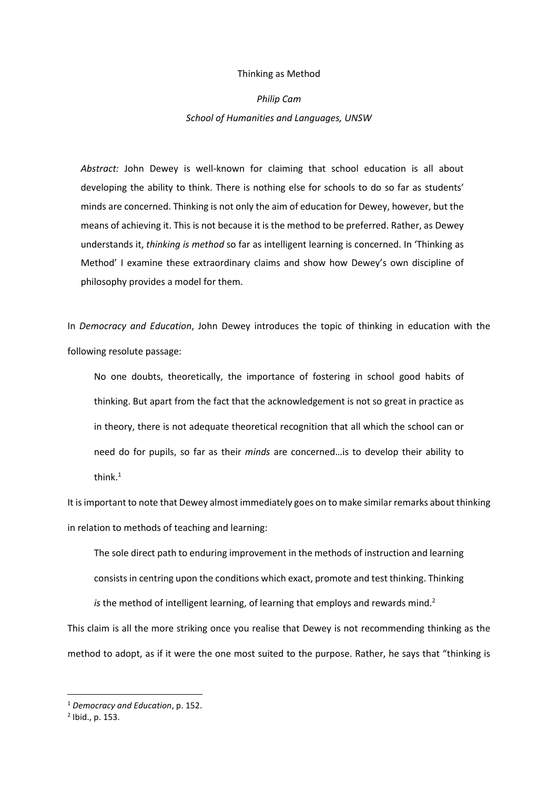#### Thinking as Method

# *Philip Cam School of Humanities and Languages, UNSW*

*Abstract:* John Dewey is well-known for claiming that school education is all about developing the ability to think. There is nothing else for schools to do so far as students' minds are concerned. Thinking is not only the aim of education for Dewey, however, but the means of achieving it. This is not because it is the method to be preferred. Rather, as Dewey understands it, *thinking is method* so far as intelligent learning is concerned. In 'Thinking as Method' I examine these extraordinary claims and show how Dewey's own discipline of philosophy provides a model for them.

In *Democracy and Education*, John Dewey introduces the topic of thinking in education with the following resolute passage:

No one doubts, theoretically, the importance of fostering in school good habits of thinking. But apart from the fact that the acknowledgement is not so great in practice as in theory, there is not adequate theoretical recognition that all which the school can or need do for pupils, so far as their *minds* are concerned…is to develop their ability to think.<sup>1</sup>

It is important to note that Dewey almost immediately goes on to make similar remarks about thinking in relation to methods of teaching and learning:

The sole direct path to enduring improvement in the methods of instruction and learning consists in centring upon the conditions which exact, promote and test thinking. Thinking

*is* the method of intelligent learning, of learning that employs and rewards mind.<sup>2</sup> This claim is all the more striking once you realise that Dewey is not recommending thinking as the method to adopt, as if it were the one most suited to the purpose. Rather, he says that "thinking is

<sup>1</sup> *Democracy and Education*, p. 152.

<sup>2</sup> Ibid., p. 153.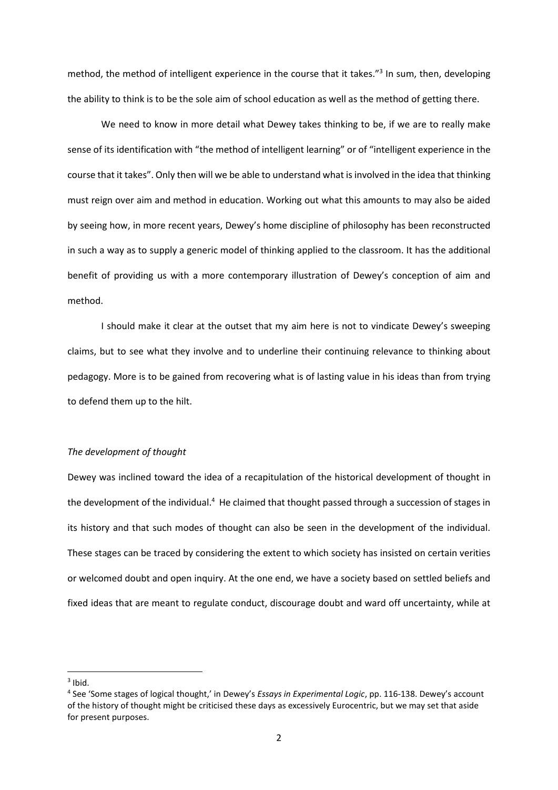method, the method of intelligent experience in the course that it takes."<sup>3</sup> In sum, then, developing the ability to think is to be the sole aim of school education as well as the method of getting there.

We need to know in more detail what Dewey takes thinking to be, if we are to really make sense of its identification with "the method of intelligent learning" or of "intelligent experience in the course that it takes". Only then will we be able to understand what is involved in the idea that thinking must reign over aim and method in education. Working out what this amounts to may also be aided by seeing how, in more recent years, Dewey's home discipline of philosophy has been reconstructed in such a way as to supply a generic model of thinking applied to the classroom. It has the additional benefit of providing us with a more contemporary illustration of Dewey's conception of aim and method.

I should make it clear at the outset that my aim here is not to vindicate Dewey's sweeping claims, but to see what they involve and to underline their continuing relevance to thinking about pedagogy. More is to be gained from recovering what is of lasting value in his ideas than from trying to defend them up to the hilt.

#### *The development of thought*

Dewey was inclined toward the idea of a recapitulation of the historical development of thought in the development of the individual.<sup>4</sup> He claimed that thought passed through a succession of stages in its history and that such modes of thought can also be seen in the development of the individual. These stages can be traced by considering the extent to which society has insisted on certain verities or welcomed doubt and open inquiry. At the one end, we have a society based on settled beliefs and fixed ideas that are meant to regulate conduct, discourage doubt and ward off uncertainty, while at

 $3$  Ibid.

<sup>4</sup> See 'Some stages of logical thought,' in Dewey's *Essays in Experimental Logic*, pp. 116-138. Dewey's account of the history of thought might be criticised these days as excessively Eurocentric, but we may set that aside for present purposes.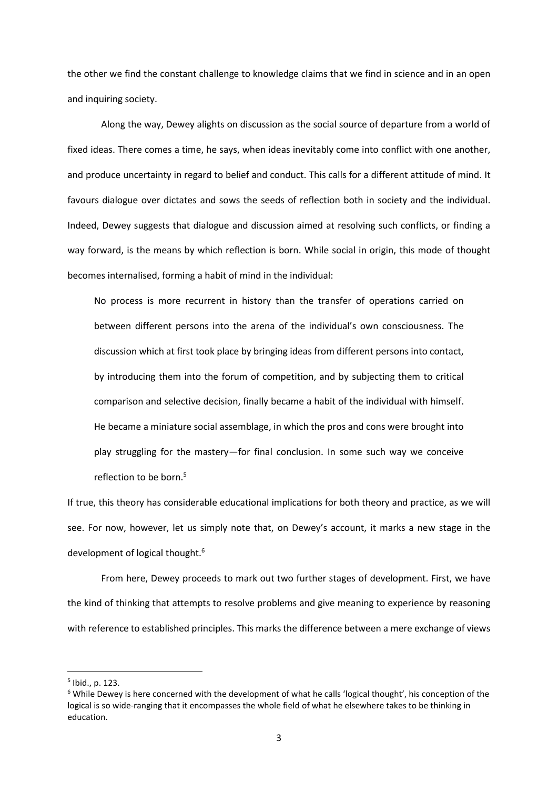the other we find the constant challenge to knowledge claims that we find in science and in an open and inquiring society.

Along the way, Dewey alights on discussion as the social source of departure from a world of fixed ideas. There comes a time, he says, when ideas inevitably come into conflict with one another, and produce uncertainty in regard to belief and conduct. This calls for a different attitude of mind. It favours dialogue over dictates and sows the seeds of reflection both in society and the individual. Indeed, Dewey suggests that dialogue and discussion aimed at resolving such conflicts, or finding a way forward, is the means by which reflection is born. While social in origin, this mode of thought becomes internalised, forming a habit of mind in the individual:

No process is more recurrent in history than the transfer of operations carried on between different persons into the arena of the individual's own consciousness. The discussion which at first took place by bringing ideas from different persons into contact, by introducing them into the forum of competition, and by subjecting them to critical comparison and selective decision, finally became a habit of the individual with himself. He became a miniature social assemblage, in which the pros and cons were brought into play struggling for the mastery—for final conclusion. In some such way we conceive reflection to be born.<sup>5</sup>

If true, this theory has considerable educational implications for both theory and practice, as we will see. For now, however, let us simply note that, on Dewey's account, it marks a new stage in the development of logical thought.<sup>6</sup>

From here, Dewey proceeds to mark out two further stages of development. First, we have the kind of thinking that attempts to resolve problems and give meaning to experience by reasoning with reference to established principles. This marks the difference between a mere exchange of views

<sup>5</sup> Ibid., p. 123.

<sup>6</sup> While Dewey is here concerned with the development of what he calls 'logical thought', his conception of the logical is so wide-ranging that it encompasses the whole field of what he elsewhere takes to be thinking in education.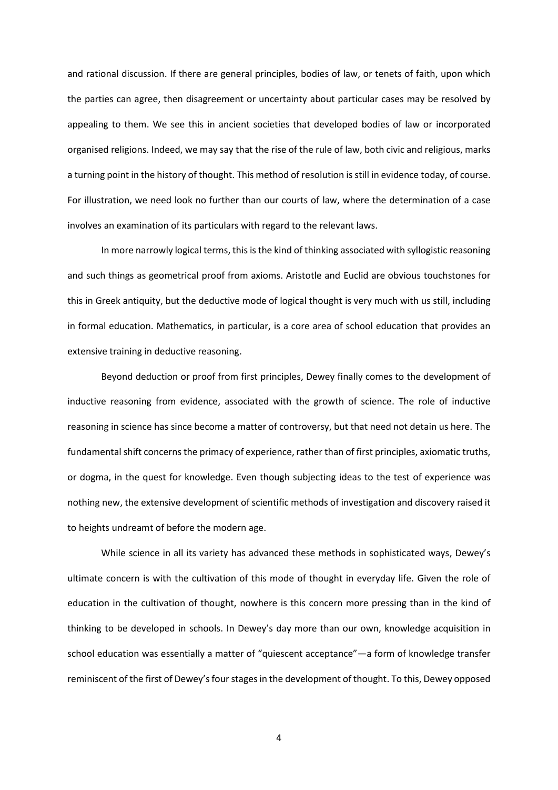and rational discussion. If there are general principles, bodies of law, or tenets of faith, upon which the parties can agree, then disagreement or uncertainty about particular cases may be resolved by appealing to them. We see this in ancient societies that developed bodies of law or incorporated organised religions. Indeed, we may say that the rise of the rule of law, both civic and religious, marks a turning point in the history of thought. This method of resolution is still in evidence today, of course. For illustration, we need look no further than our courts of law, where the determination of a case involves an examination of its particulars with regard to the relevant laws.

In more narrowly logical terms, this is the kind of thinking associated with syllogistic reasoning and such things as geometrical proof from axioms. Aristotle and Euclid are obvious touchstones for this in Greek antiquity, but the deductive mode of logical thought is very much with us still, including in formal education. Mathematics, in particular, is a core area of school education that provides an extensive training in deductive reasoning.

Beyond deduction or proof from first principles, Dewey finally comes to the development of inductive reasoning from evidence, associated with the growth of science. The role of inductive reasoning in science has since become a matter of controversy, but that need not detain us here. The fundamental shift concerns the primacy of experience, rather than of first principles, axiomatic truths, or dogma, in the quest for knowledge. Even though subjecting ideas to the test of experience was nothing new, the extensive development of scientific methods of investigation and discovery raised it to heights undreamt of before the modern age.

While science in all its variety has advanced these methods in sophisticated ways, Dewey's ultimate concern is with the cultivation of this mode of thought in everyday life. Given the role of education in the cultivation of thought, nowhere is this concern more pressing than in the kind of thinking to be developed in schools. In Dewey's day more than our own, knowledge acquisition in school education was essentially a matter of "quiescent acceptance"—a form of knowledge transfer reminiscent of the first of Dewey's four stages in the development of thought. To this, Dewey opposed

4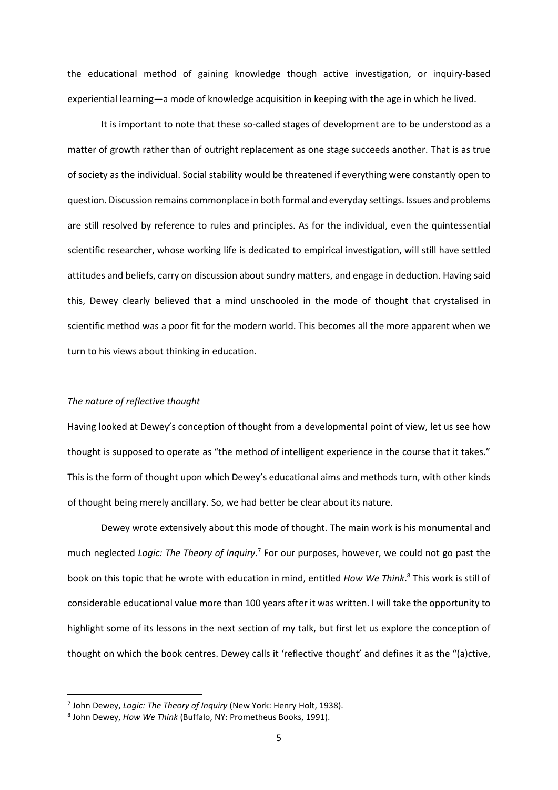the educational method of gaining knowledge though active investigation, or inquiry-based experiential learning—a mode of knowledge acquisition in keeping with the age in which he lived.

It is important to note that these so-called stages of development are to be understood as a matter of growth rather than of outright replacement as one stage succeeds another. That is as true of society as the individual. Social stability would be threatened if everything were constantly open to question. Discussion remains commonplace in both formal and everyday settings. Issues and problems are still resolved by reference to rules and principles. As for the individual, even the quintessential scientific researcher, whose working life is dedicated to empirical investigation, will still have settled attitudes and beliefs, carry on discussion about sundry matters, and engage in deduction. Having said this, Dewey clearly believed that a mind unschooled in the mode of thought that crystalised in scientific method was a poor fit for the modern world. This becomes all the more apparent when we turn to his views about thinking in education.

#### *The nature of reflective thought*

Having looked at Dewey's conception of thought from a developmental point of view, let us see how thought is supposed to operate as "the method of intelligent experience in the course that it takes." This is the form of thought upon which Dewey's educational aims and methods turn, with other kinds of thought being merely ancillary. So, we had better be clear about its nature.

Dewey wrote extensively about this mode of thought. The main work is his monumental and much neglected Logic: The Theory of Inquiry.<sup>7</sup> For our purposes, however, we could not go past the book on this topic that he wrote with education in mind, entitled *How We Think*. <sup>8</sup> This work is still of considerable educational value more than 100 years after it was written. I will take the opportunity to highlight some of its lessons in the next section of my talk, but first let us explore the conception of thought on which the book centres. Dewey calls it 'reflective thought' and defines it as the "(a)ctive,

<sup>7</sup> John Dewey, *Logic: The Theory of Inquiry* (New York: Henry Holt, 1938).

<sup>8</sup> John Dewey, *How We Think* (Buffalo, NY: Prometheus Books, 1991).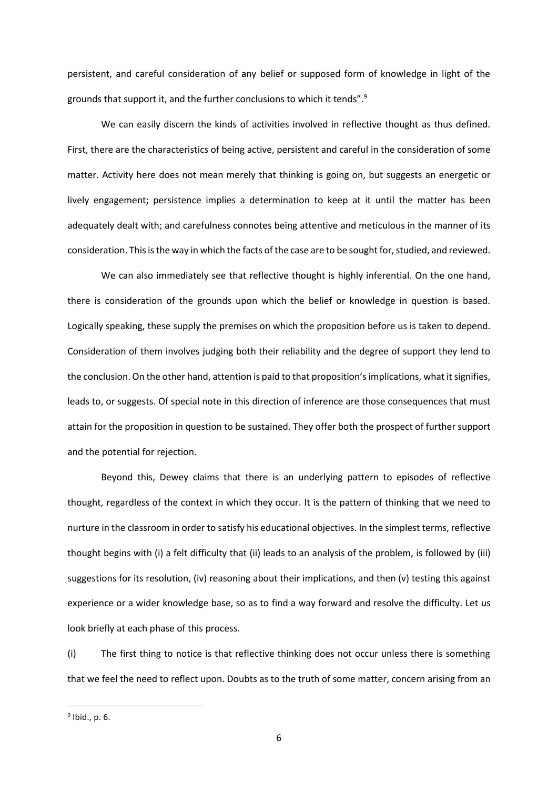persistent, and careful consideration of any belief or supposed form of knowledge in light of the grounds that support it, and the further conclusions to which it tends".<sup>9</sup>

We can easily discern the kinds of activities involved in reflective thought as thus defined. First, there are the characteristics of being active, persistent and careful in the consideration of some matter. Activity here does not mean merely that thinking is going on, but suggests an energetic or lively engagement; persistence implies a determination to keep at it until the matter has been adequately dealt with; and carefulness connotes being attentive and meticulous in the manner of its consideration. This is the way in which the facts of the case are to be sought for, studied, and reviewed.

We can also immediately see that reflective thought is highly inferential. On the one hand, there is consideration of the grounds upon which the belief or knowledge in question is based. Logically speaking, these supply the premises on which the proposition before us is taken to depend. Consideration of them involves judging both their reliability and the degree of support they lend to the conclusion. On the other hand, attention is paid to that proposition's implications, what it signifies, leads to, or suggests. Of special note in this direction of inference are those consequences that must attain for the proposition in question to be sustained. They offer both the prospect of further support and the potential for rejection.

Beyond this, Dewey claims that there is an underlying pattern to episodes of reflective thought, regardless of the context in which they occur. It is the pattern of thinking that we need to nurture in the classroom in order to satisfy his educational objectives. In the simplest terms, reflective thought begins with (i) a felt difficulty that (ii) leads to an analysis of the problem, is followed by (iii) suggestions for its resolution, (iv) reasoning about their implications, and then (v) testing this against experience or a wider knowledge base, so as to find a way forward and resolve the difficulty. Let us look briefly at each phase of this process.

(i) The first thing to notice is that reflective thinking does not occur unless there is something that we feel the need to reflect upon. Doubts as to the truth of some matter, concern arising from an

<sup>9</sup> Ibid., p. 6.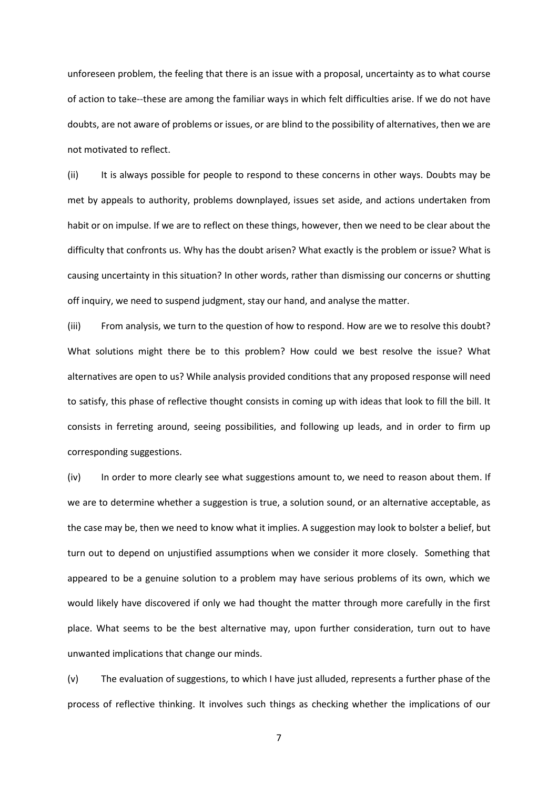unforeseen problem, the feeling that there is an issue with a proposal, uncertainty as to what course of action to take--these are among the familiar ways in which felt difficulties arise. If we do not have doubts, are not aware of problems or issues, or are blind to the possibility of alternatives, then we are not motivated to reflect.

(ii) It is always possible for people to respond to these concerns in other ways. Doubts may be met by appeals to authority, problems downplayed, issues set aside, and actions undertaken from habit or on impulse. If we are to reflect on these things, however, then we need to be clear about the difficulty that confronts us. Why has the doubt arisen? What exactly is the problem or issue? What is causing uncertainty in this situation? In other words, rather than dismissing our concerns or shutting off inquiry, we need to suspend judgment, stay our hand, and analyse the matter.

(iii) From analysis, we turn to the question of how to respond. How are we to resolve this doubt? What solutions might there be to this problem? How could we best resolve the issue? What alternatives are open to us? While analysis provided conditions that any proposed response will need to satisfy, this phase of reflective thought consists in coming up with ideas that look to fill the bill. It consists in ferreting around, seeing possibilities, and following up leads, and in order to firm up corresponding suggestions.

(iv) In order to more clearly see what suggestions amount to, we need to reason about them. If we are to determine whether a suggestion is true, a solution sound, or an alternative acceptable, as the case may be, then we need to know what it implies. A suggestion may look to bolster a belief, but turn out to depend on unjustified assumptions when we consider it more closely. Something that appeared to be a genuine solution to a problem may have serious problems of its own, which we would likely have discovered if only we had thought the matter through more carefully in the first place. What seems to be the best alternative may, upon further consideration, turn out to have unwanted implications that change our minds.

(v) The evaluation of suggestions, to which I have just alluded, represents a further phase of the process of reflective thinking. It involves such things as checking whether the implications of our

7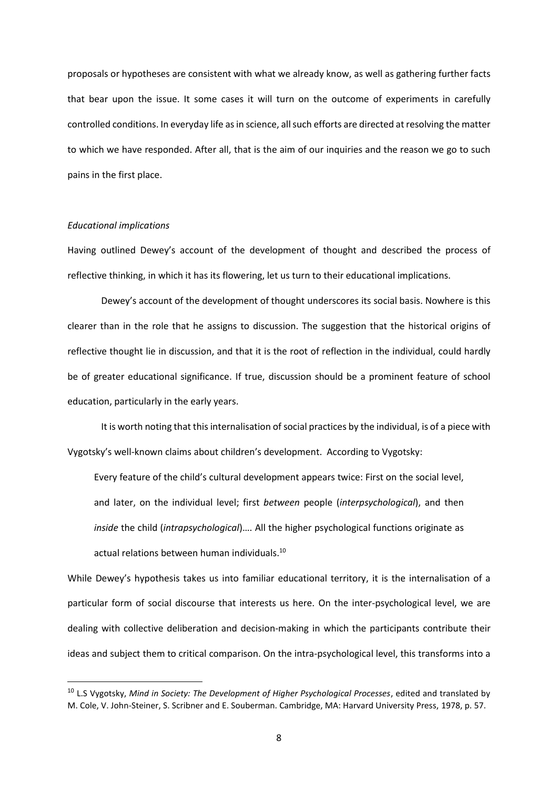proposals or hypotheses are consistent with what we already know, as well as gathering further facts that bear upon the issue. It some cases it will turn on the outcome of experiments in carefully controlled conditions. In everyday life as in science, all such efforts are directed at resolving the matter to which we have responded. After all, that is the aim of our inquiries and the reason we go to such pains in the first place.

### *Educational implications*

Having outlined Dewey's account of the development of thought and described the process of reflective thinking, in which it has its flowering, let us turn to their educational implications.

Dewey's account of the development of thought underscores its social basis. Nowhere is this clearer than in the role that he assigns to discussion. The suggestion that the historical origins of reflective thought lie in discussion, and that it is the root of reflection in the individual, could hardly be of greater educational significance. If true, discussion should be a prominent feature of school education, particularly in the early years.

It is worth noting that this internalisation of social practices by the individual, is of a piece with Vygotsky's well-known claims about children's development. According to Vygotsky:

Every feature of the child's cultural development appears twice: First on the social level, and later, on the individual level; first *between* people (*interpsychological*), and then *inside* the child (*intrapsychological*)…. All the higher psychological functions originate as actual relations between human individuals.<sup>10</sup>

While Dewey's hypothesis takes us into familiar educational territory, it is the internalisation of a particular form of social discourse that interests us here. On the inter-psychological level, we are dealing with collective deliberation and decision-making in which the participants contribute their ideas and subject them to critical comparison. On the intra-psychological level, this transforms into a

<sup>10</sup> L.S Vygotsky, *Mind in Society: The Development of Higher Psychological Processes*, edited and translated by M. Cole, V. John-Steiner, S. Scribner and E. Souberman. Cambridge, MA: Harvard University Press, 1978, p. 57.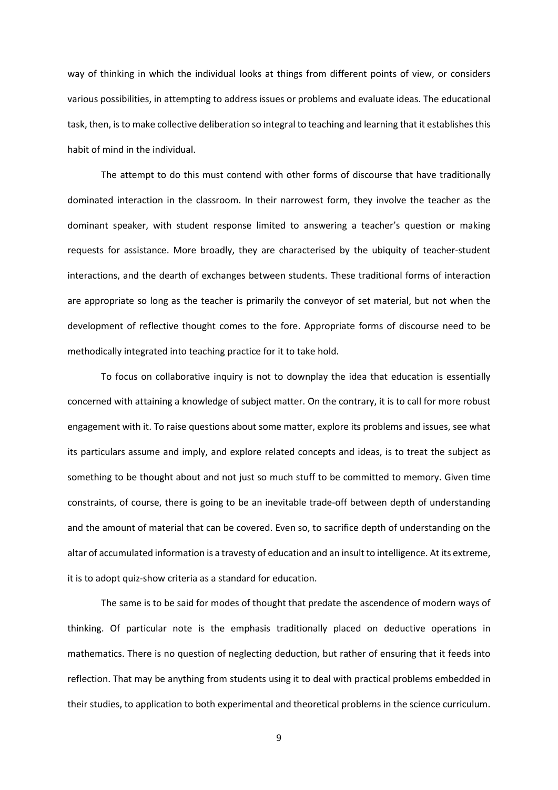way of thinking in which the individual looks at things from different points of view, or considers various possibilities, in attempting to address issues or problems and evaluate ideas. The educational task, then, is to make collective deliberation so integral to teaching and learning that it establishes this habit of mind in the individual.

The attempt to do this must contend with other forms of discourse that have traditionally dominated interaction in the classroom. In their narrowest form, they involve the teacher as the dominant speaker, with student response limited to answering a teacher's question or making requests for assistance. More broadly, they are characterised by the ubiquity of teacher-student interactions, and the dearth of exchanges between students. These traditional forms of interaction are appropriate so long as the teacher is primarily the conveyor of set material, but not when the development of reflective thought comes to the fore. Appropriate forms of discourse need to be methodically integrated into teaching practice for it to take hold.

To focus on collaborative inquiry is not to downplay the idea that education is essentially concerned with attaining a knowledge of subject matter. On the contrary, it is to call for more robust engagement with it. To raise questions about some matter, explore its problems and issues, see what its particulars assume and imply, and explore related concepts and ideas, is to treat the subject as something to be thought about and not just so much stuff to be committed to memory. Given time constraints, of course, there is going to be an inevitable trade-off between depth of understanding and the amount of material that can be covered. Even so, to sacrifice depth of understanding on the altar of accumulated information is a travesty of education and an insult to intelligence. At its extreme, it is to adopt quiz-show criteria as a standard for education.

The same is to be said for modes of thought that predate the ascendence of modern ways of thinking. Of particular note is the emphasis traditionally placed on deductive operations in mathematics. There is no question of neglecting deduction, but rather of ensuring that it feeds into reflection. That may be anything from students using it to deal with practical problems embedded in their studies, to application to both experimental and theoretical problems in the science curriculum.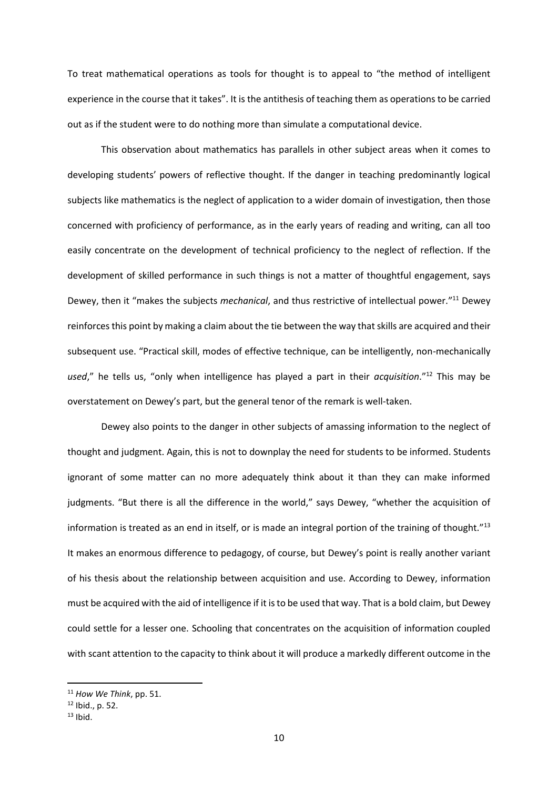To treat mathematical operations as tools for thought is to appeal to "the method of intelligent experience in the course that it takes". It is the antithesis of teaching them as operations to be carried out as if the student were to do nothing more than simulate a computational device.

This observation about mathematics has parallels in other subject areas when it comes to developing students' powers of reflective thought. If the danger in teaching predominantly logical subjects like mathematics is the neglect of application to a wider domain of investigation, then those concerned with proficiency of performance, as in the early years of reading and writing, can all too easily concentrate on the development of technical proficiency to the neglect of reflection. If the development of skilled performance in such things is not a matter of thoughtful engagement, says Dewey, then it "makes the subjects *mechanical*, and thus restrictive of intellectual power." <sup>11</sup> Dewey reinforces this point by making a claim about the tie between the way that skills are acquired and their subsequent use. "Practical skill, modes of effective technique, can be intelligently, non-mechanically *used*," he tells us, "only when intelligence has played a part in their *acquisition*."<sup>12</sup> This may be overstatement on Dewey's part, but the general tenor of the remark is well-taken.

Dewey also points to the danger in other subjects of amassing information to the neglect of thought and judgment. Again, this is not to downplay the need for students to be informed. Students ignorant of some matter can no more adequately think about it than they can make informed judgments. "But there is all the difference in the world," says Dewey, "whether the acquisition of information is treated as an end in itself, or is made an integral portion of the training of thought." $^{13}$ It makes an enormous difference to pedagogy, of course, but Dewey's point is really another variant of his thesis about the relationship between acquisition and use. According to Dewey, information must be acquired with the aid of intelligence if it is to be used that way. That is a bold claim, but Dewey could settle for a lesser one. Schooling that concentrates on the acquisition of information coupled with scant attention to the capacity to think about it will produce a markedly different outcome in the

<sup>11</sup> *How We Think*, pp. 51.

 $12$  Ibid., p. 52.

 $13$  Ibid.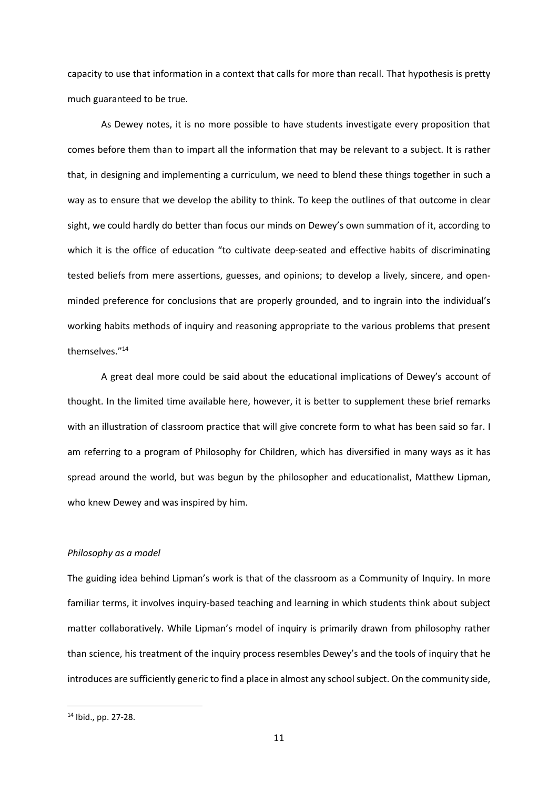capacity to use that information in a context that calls for more than recall. That hypothesis is pretty much guaranteed to be true.

As Dewey notes, it is no more possible to have students investigate every proposition that comes before them than to impart all the information that may be relevant to a subject. It is rather that, in designing and implementing a curriculum, we need to blend these things together in such a way as to ensure that we develop the ability to think. To keep the outlines of that outcome in clear sight, we could hardly do better than focus our minds on Dewey's own summation of it, according to which it is the office of education "to cultivate deep-seated and effective habits of discriminating tested beliefs from mere assertions, guesses, and opinions; to develop a lively, sincere, and openminded preference for conclusions that are properly grounded, and to ingrain into the individual's working habits methods of inquiry and reasoning appropriate to the various problems that present themselves."<sup>14</sup>

A great deal more could be said about the educational implications of Dewey's account of thought. In the limited time available here, however, it is better to supplement these brief remarks with an illustration of classroom practice that will give concrete form to what has been said so far. I am referring to a program of Philosophy for Children, which has diversified in many ways as it has spread around the world, but was begun by the philosopher and educationalist, Matthew Lipman, who knew Dewey and was inspired by him.

### *Philosophy as a model*

The guiding idea behind Lipman's work is that of the classroom as a Community of Inquiry. In more familiar terms, it involves inquiry-based teaching and learning in which students think about subject matter collaboratively. While Lipman's model of inquiry is primarily drawn from philosophy rather than science, his treatment of the inquiry process resembles Dewey's and the tools of inquiry that he introduces are sufficiently generic to find a place in almost any school subject. On the community side,

<sup>14</sup> Ibid., pp. 27-28.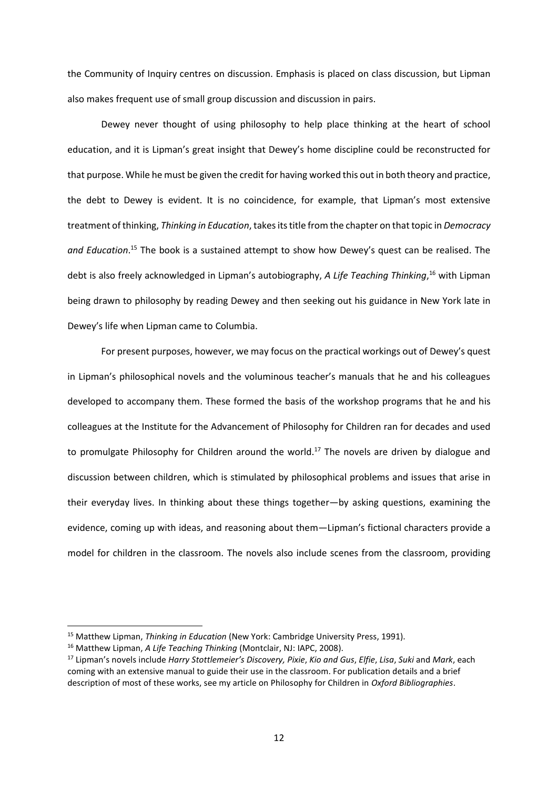the Community of Inquiry centres on discussion. Emphasis is placed on class discussion, but Lipman also makes frequent use of small group discussion and discussion in pairs.

Dewey never thought of using philosophy to help place thinking at the heart of school education, and it is Lipman's great insight that Dewey's home discipline could be reconstructed for that purpose. While he must be given the credit for having worked this out in both theory and practice, the debt to Dewey is evident. It is no coincidence, for example, that Lipman's most extensive treatment of thinking, *Thinking in Education*, takes its title from the chapter on that topic in *Democracy and Education*. <sup>15</sup> The book is a sustained attempt to show how Dewey's quest can be realised. The debt is also freely acknowledged in Lipman's autobiography, *A Life Teaching Thinking*, <sup>16</sup> with Lipman being drawn to philosophy by reading Dewey and then seeking out his guidance in New York late in Dewey's life when Lipman came to Columbia.

For present purposes, however, we may focus on the practical workings out of Dewey's quest in Lipman's philosophical novels and the voluminous teacher's manuals that he and his colleagues developed to accompany them. These formed the basis of the workshop programs that he and his colleagues at the Institute for the Advancement of Philosophy for Children ran for decades and used to promulgate Philosophy for Children around the world.<sup>17</sup> The novels are driven by dialogue and discussion between children, which is stimulated by philosophical problems and issues that arise in their everyday lives. In thinking about these things together—by asking questions, examining the evidence, coming up with ideas, and reasoning about them—Lipman's fictional characters provide a model for children in the classroom. The novels also include scenes from the classroom, providing

<sup>&</sup>lt;sup>15</sup> Matthew Lipman, *Thinking in Education* (New York: Cambridge University Press, 1991).

<sup>16</sup> Matthew Lipman, *A Life Teaching Thinking* (Montclair, NJ: IAPC, 2008).

<sup>17</sup> Lipman's novels include *Harry Stottlemeier's Discovery, Pixie*, *Kio and Gus*, *Elfie*, *Lisa*, *Suki* and *Mark*, each coming with an extensive manual to guide their use in the classroom. For publication details and a brief description of most of these works, see my article on Philosophy for Children in *Oxford Bibliographies*.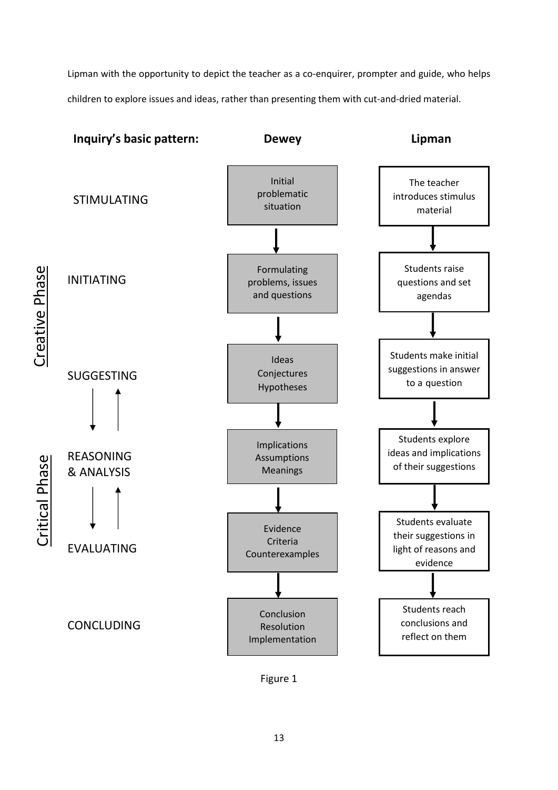Lipman with the opportunity to depict the teacher as a co-enquirer, prompter and guide, who helps children to explore issues and ideas, rather than presenting them with cut-and-dried material.



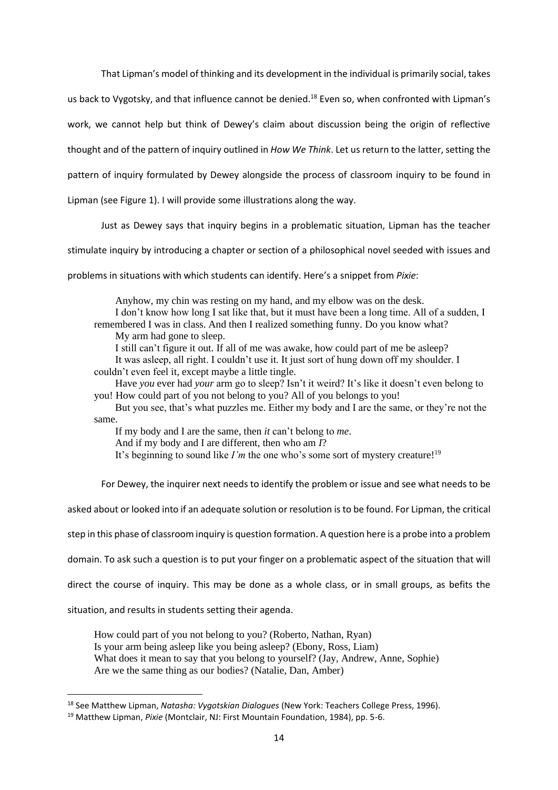That Lipman's model of thinking and its development in the individual is primarily social, takes

us back to Vygotsky, and that influence cannot be denied.<sup>18</sup> Even so, when confronted with Lipman's

work, we cannot help but think of Dewey's claim about discussion being the origin of reflective

thought and of the pattern of inquiry outlined in *How We Think*. Let us return to the latter, setting the

pattern of inquiry formulated by Dewey alongside the process of classroom inquiry to be found in

Lipman (see Figure 1). I will provide some illustrations along the way.

Just as Dewey says that inquiry begins in a problematic situation, Lipman has the teacher

stimulate inquiry by introducing a chapter or section of a philosophical novel seeded with issues and

problems in situations with which students can identify. Here's a snippet from *Pixie*:

Anyhow, my chin was resting on my hand, and my elbow was on the desk.

I don't know how long I sat like that, but it must have been a long time. All of a sudden, I remembered I was in class. And then I realized something funny. Do you know what?

My arm had gone to sleep.

I still can't figure it out. If all of me was awake, how could part of me be asleep? It was asleep, all right. I couldn't use it. It just sort of hung down off my shoulder. I

couldn't even feel it, except maybe a little tingle.

Have *you* ever had *your* arm go to sleep? Isn't it weird? It's like it doesn't even belong to you! How could part of you not belong to you? All of you belongs to you!

But you see, that's what puzzles me. Either my body and I are the same, or they're not the same.

If my body and I are the same, then *it* can't belong to *me*.

And if my body and I are different, then who am *I*?

It's beginning to sound like *I'm* the one who's some sort of mystery creature!<sup>19</sup>

For Dewey, the inquirer next needs to identify the problem or issue and see what needs to be

asked about or looked into if an adequate solution or resolution is to be found. For Lipman, the critical

step in this phase of classroom inquiry is question formation. A question here is a probe into a problem

domain. To ask such a question is to put your finger on a problematic aspect of the situation that will

direct the course of inquiry. This may be done as a whole class, or in small groups, as befits the

situation, and results in students setting their agenda.

How could part of you not belong to you? (Roberto, Nathan, Ryan) Is your arm being asleep like you being asleep? (Ebony, Ross, Liam) What does it mean to say that you belong to yourself? (Jay, Andrew, Anne, Sophie) Are we the same thing as our bodies? (Natalie, Dan, Amber)

<sup>18</sup> See Matthew Lipman, *Natasha: Vygotskian Dialogues* (New York: Teachers College Press, 1996).

<sup>19</sup> Matthew Lipman, *Pixie* (Montclair, NJ: First Mountain Foundation, 1984), pp. 5-6.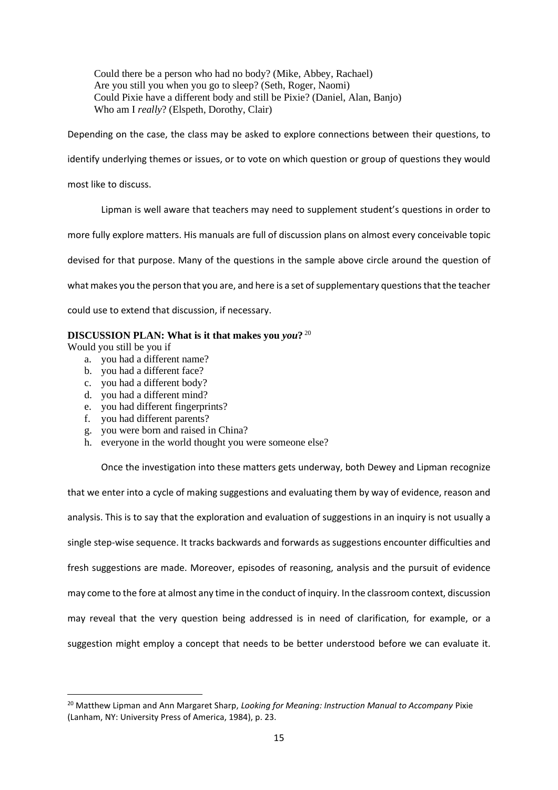Could there be a person who had no body? (Mike, Abbey, Rachael) Are you still you when you go to sleep? (Seth, Roger, Naomi) Could Pixie have a different body and still be Pixie? (Daniel, Alan, Banjo) Who am I *really*? (Elspeth, Dorothy, Clair)

Depending on the case, the class may be asked to explore connections between their questions, to

identify underlying themes or issues, or to vote on which question or group of questions they would

most like to discuss.

Lipman is well aware that teachers may need to supplement student's questions in order to

more fully explore matters. His manuals are full of discussion plans on almost every conceivable topic

devised for that purpose. Many of the questions in the sample above circle around the question of

what makes you the person that you are, and here is a set of supplementary questions that the teacher

could use to extend that discussion, if necessary.

# **DISCUSSION PLAN: What is it that makes you** *you***?** 20

Would you still be you if

- a. you had a different name?
- b. you had a different face?
- c. you had a different body?
- d. you had a different mind?
- e. you had different fingerprints?
- f. you had different parents?
- g. you were born and raised in China?
- h. everyone in the world thought you were someone else?

Once the investigation into these matters gets underway, both Dewey and Lipman recognize that we enter into a cycle of making suggestions and evaluating them by way of evidence, reason and analysis. This is to say that the exploration and evaluation of suggestions in an inquiry is not usually a single step-wise sequence. It tracks backwards and forwards as suggestions encounter difficulties and fresh suggestions are made. Moreover, episodes of reasoning, analysis and the pursuit of evidence may come to the fore at almost any time in the conduct of inquiry. In the classroom context, discussion may reveal that the very question being addressed is in need of clarification, for example, or a suggestion might employ a concept that needs to be better understood before we can evaluate it.

<sup>20</sup> Matthew Lipman and Ann Margaret Sharp, *Looking for Meaning: Instruction Manual to Accompany* Pixie (Lanham, NY: University Press of America, 1984), p. 23.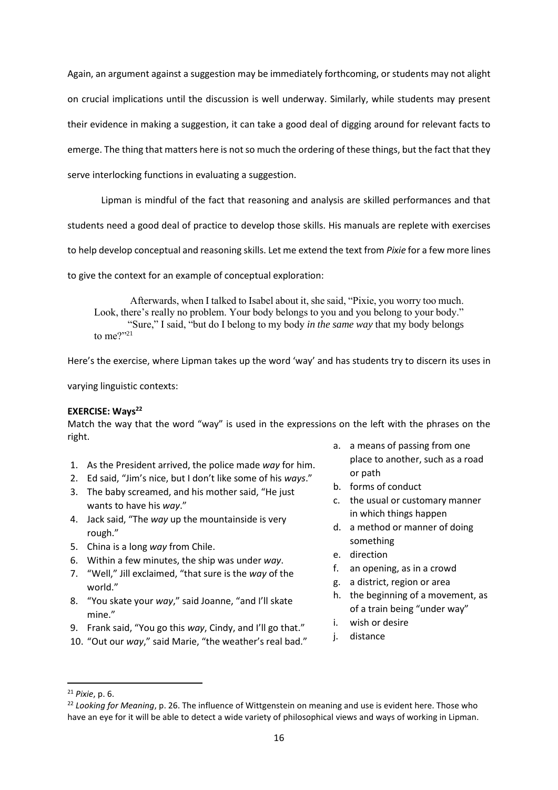Again, an argument against a suggestion may be immediately forthcoming, or students may not alight on crucial implications until the discussion is well underway. Similarly, while students may present their evidence in making a suggestion, it can take a good deal of digging around for relevant facts to emerge. The thing that matters here is not so much the ordering of these things, but the fact that they serve interlocking functions in evaluating a suggestion.

Lipman is mindful of the fact that reasoning and analysis are skilled performances and that

students need a good deal of practice to develop those skills. His manuals are replete with exercises

to help develop conceptual and reasoning skills. Let me extend the text from *Pixie* for a few more lines

to give the context for an example of conceptual exploration:

Afterwards, when I talked to Isabel about it, she said, "Pixie, you worry too much. Look, there's really no problem. Your body belongs to you and you belong to your body." "Sure," I said, "but do I belong to my body *in the same way* that my body belongs to me?"21

Here's the exercise, where Lipman takes up the word 'way' and has students try to discern its uses in

varying linguistic contexts:

# **EXERCISE: Ways<sup>22</sup>**

Match the way that the word "way" is used in the expressions on the left with the phrases on the right.

- 1. As the President arrived, the police made *way* for him.
- 2. Ed said, "Jim's nice, but I don't like some of his *ways*."
- 3. The baby screamed, and his mother said, "He just wants to have his *way*."
- 4. Jack said, "The *way* up the mountainside is very rough."
- 5. China is a long *way* from Chile.
- 6. Within a few minutes, the ship was under *way*.
- 7. "Well," Jill exclaimed, "that sure is the *way* of the world."
- 8. "You skate your *way*," said Joanne, "and I'll skate mine"
- 9. Frank said, "You go this *way*, Cindy, and I'll go that."
- 10. "Out our *way*," said Marie, "the weather's real bad."
- a. a means of passing from one place to another, such as a road or path
- b. forms of conduct
- c. the usual or customary manner in which things happen
- d. a method or manner of doing something
- e. direction
- f. an opening, as in a crowd
- g. a district, region or area
- h. the beginning of a movement, as of a train being "under way"
- i. wish or desire
- j. distance

<sup>21</sup> *Pixie*, p. 6.

<sup>&</sup>lt;sup>22</sup> Looking for Megning, p. 26. The influence of Wittgenstein on meaning and use is evident here. Those who have an eye for it will be able to detect a wide variety of philosophical views and ways of working in Lipman.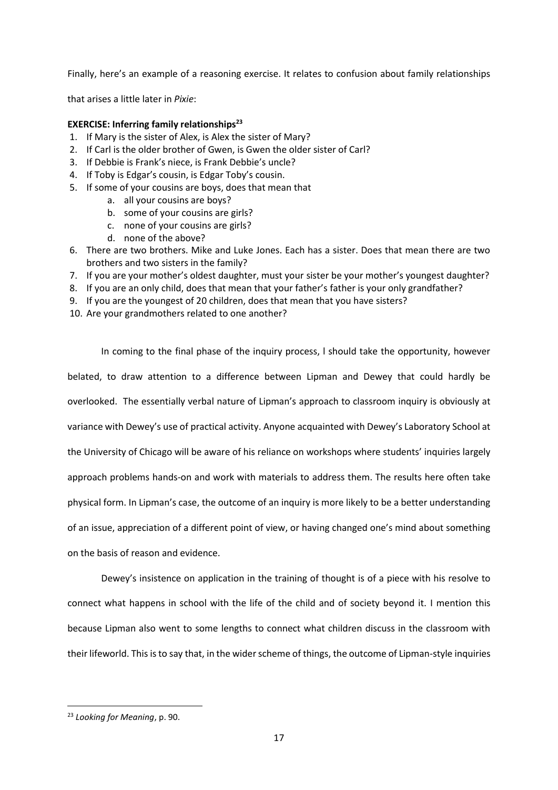Finally, here's an example of a reasoning exercise. It relates to confusion about family relationships

that arises a little later in *Pixie*:

# **EXERCISE: Inferring family relationships<sup>23</sup>**

- 1. If Mary is the sister of Alex, is Alex the sister of Mary?
- 2. If Carl is the older brother of Gwen, is Gwen the older sister of Carl?
- 3. If Debbie is Frank's niece, is Frank Debbie's uncle?
- 4. If Toby is Edgar's cousin, is Edgar Toby's cousin.
- 5. If some of your cousins are boys, does that mean that
	- a. all your cousins are boys?
	- b. some of your cousins are girls?
	- c. none of your cousins are girls?
	- d. none of the above?
- 6. There are two brothers. Mike and Luke Jones. Each has a sister. Does that mean there are two brothers and two sisters in the family?
- 7. If you are your mother's oldest daughter, must your sister be your mother's youngest daughter?
- 8. If you are an only child, does that mean that your father's father is your only grandfather?
- 9. If you are the youngest of 20 children, does that mean that you have sisters?
- 10. Are your grandmothers related to one another?

In coming to the final phase of the inquiry process, l should take the opportunity, however belated, to draw attention to a difference between Lipman and Dewey that could hardly be overlooked. The essentially verbal nature of Lipman's approach to classroom inquiry is obviously at variance with Dewey's use of practical activity. Anyone acquainted with Dewey's Laboratory School at the University of Chicago will be aware of his reliance on workshops where students' inquiries largely approach problems hands-on and work with materials to address them. The results here often take physical form. In Lipman's case, the outcome of an inquiry is more likely to be a better understanding of an issue, appreciation of a different point of view, or having changed one's mind about something on the basis of reason and evidence.

Dewey's insistence on application in the training of thought is of a piece with his resolve to connect what happens in school with the life of the child and of society beyond it. I mention this because Lipman also went to some lengths to connect what children discuss in the classroom with their lifeworld. This is to say that, in the wider scheme of things, the outcome of Lipman-style inquiries

<sup>23</sup> *Looking for Meaning*, p. 90.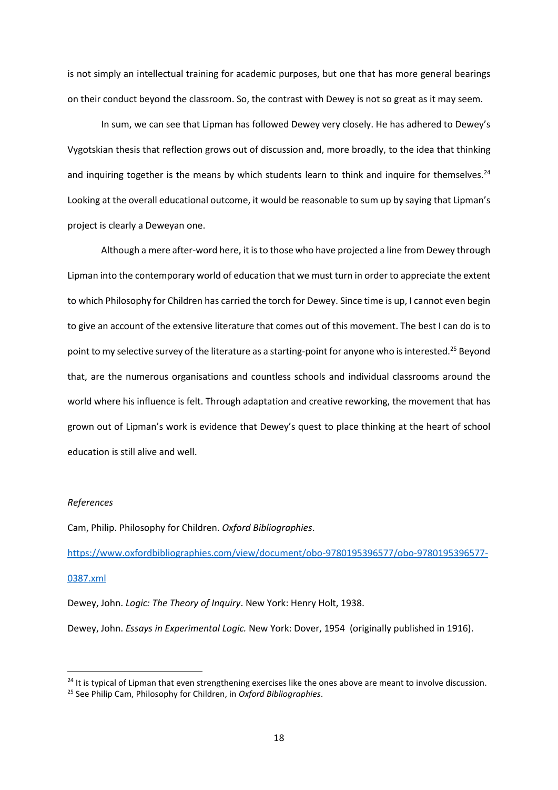is not simply an intellectual training for academic purposes, but one that has more general bearings on their conduct beyond the classroom. So, the contrast with Dewey is not so great as it may seem.

In sum, we can see that Lipman has followed Dewey very closely. He has adhered to Dewey's Vygotskian thesis that reflection grows out of discussion and, more broadly, to the idea that thinking and inquiring together is the means by which students learn to think and inquire for themselves.<sup>24</sup> Looking at the overall educational outcome, it would be reasonable to sum up by saying that Lipman's project is clearly a Deweyan one.

Although a mere after-word here, it is to those who have projected a line from Dewey through Lipman into the contemporary world of education that we must turn in order to appreciate the extent to which Philosophy for Children has carried the torch for Dewey. Since time is up, I cannot even begin to give an account of the extensive literature that comes out of this movement. The best I can do is to point to my selective survey of the literature as a starting-point for anyone who is interested.<sup>25</sup> Beyond that, are the numerous organisations and countless schools and individual classrooms around the world where his influence is felt. Through adaptation and creative reworking, the movement that has grown out of Lipman's work is evidence that Dewey's quest to place thinking at the heart of school education is still alive and well.

### *References*

Cam, Philip. Philosophy for Children. *Oxford Bibliographies*.

[https://www.oxfordbibliographies.com/view/document/obo-9780195396577/obo-9780195396577-](https://www.oxfordbibliographies.com/view/document/obo-9780195396577/obo-9780195396577-0387.xml)

## [0387.xml](https://www.oxfordbibliographies.com/view/document/obo-9780195396577/obo-9780195396577-0387.xml)

Dewey, John. *Logic: The Theory of Inquiry*. New York: Henry Holt, 1938.

Dewey, John. *Essays in Experimental Logic.* New York: Dover, 1954 (originally published in 1916).

<sup>&</sup>lt;sup>24</sup> It is typical of Lipman that even strengthening exercises like the ones above are meant to involve discussion. <sup>25</sup> See Philip Cam, Philosophy for Children, in *Oxford Bibliographies*.